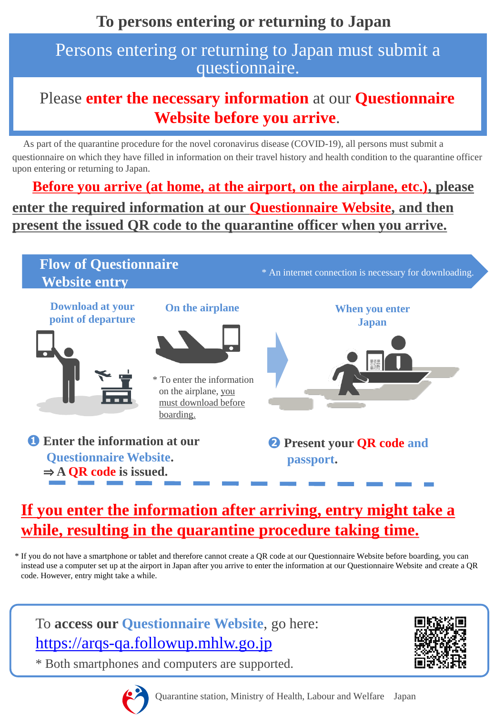## Persons entering or returning to Japan must submit a questionnaire.

## Please **enter the necessary information** at our **Questionnaire Website before you arrive**.

As part of the quarantine procedure for the novel coronavirus disease (COVID-19), all persons must submit a questionnaire on which they have filled in information on their travel history and health condition to the quarantine officer upon entering or returning to Japan.

**Before you arrive (at home, at the airport, on the airplane, etc.), please enter the required information at our Questionnaire Website, and then present the issued QR code to the quarantine officer when you arrive.**



## **If you enter the information after arriving, entry might take a while, resulting in the quarantine procedure taking time.**

\* If you do not have a smartphone or tablet and therefore cannot create a QR code at our Questionnaire Website before boarding, you can instead use a computer set up at the airport in Japan after you arrive to enter the information at our Questionnaire Website and create a QR code. However, entry might take a while.

To **access our Questionnaire Website**, go here: [https://arqs-qa.followup.mhlw.go.jp](https://arqs-qa.followup.mhlw.go.jp/)

\* Both smartphones and computers are supported.